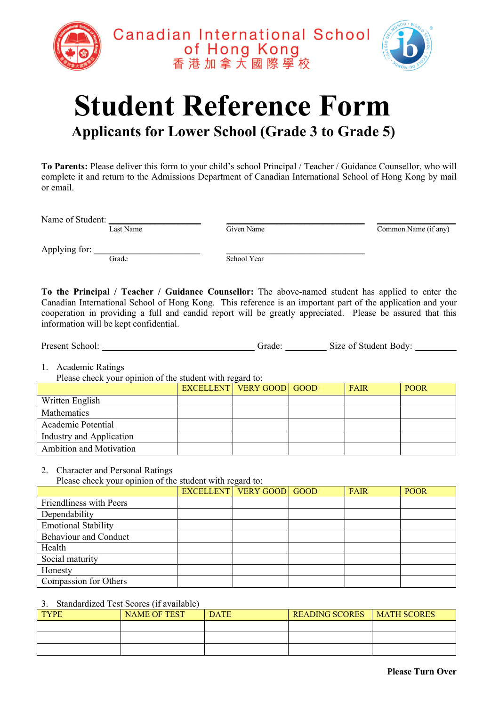



## **Student Reference Form Applicants for Lower School (Grade 3 to Grade 5)**

**To Parents:** Please deliver this form to your child's school Principal / Teacher / Guidance Counsellor, who will complete it and return to the Admissions Department of Canadian International School of Hong Kong by mail or email.

Name of Student: <u>Last Name</u> and Common Name (if any) and Common Name (if any) common Name (if any)

Applying for: \_\_\_\_\_\_\_\_\_\_\_\_\_\_\_\_\_\_\_\_\_\_\_ \_\_\_\_\_\_\_\_\_\_\_\_\_\_\_\_\_\_\_\_\_\_\_\_\_\_\_\_\_\_ Grade School Year

**To the Principal / Teacher / Guidance Counsellor:** The above-named student has applied to enter the Canadian International School of Hong Kong. This reference is an important part of the application and your cooperation in providing a full and candid report will be greatly appreciated. Please be assured that this information will be kept confidential.

| Present School: | frade | Size of Student Body: |  |
|-----------------|-------|-----------------------|--|
|                 |       |                       |  |

1. Academic Ratings

Please check your opinion of the student with regard to:

| Theme eneen your opinion of the bittenity which regards to: |  |                                 |  |             |             |
|-------------------------------------------------------------|--|---------------------------------|--|-------------|-------------|
|                                                             |  | <b>EXCELLENT VERY GOOD GOOD</b> |  | <b>FAIR</b> | <b>POOR</b> |
| Written English                                             |  |                                 |  |             |             |
| <b>Mathematics</b>                                          |  |                                 |  |             |             |
| Academic Potential                                          |  |                                 |  |             |             |
| Industry and Application                                    |  |                                 |  |             |             |
| Ambition and Motivation                                     |  |                                 |  |             |             |

2. Character and Personal Ratings

Please check your opinion of the student with regard to:

|                              | <b>EXCELLENT VERY GOOD GOOD</b> | FAIR | <b>POOR</b> |
|------------------------------|---------------------------------|------|-------------|
| Friendliness with Peers      |                                 |      |             |
| Dependability                |                                 |      |             |
| <b>Emotional Stability</b>   |                                 |      |             |
| <b>Behaviour and Conduct</b> |                                 |      |             |
| Health                       |                                 |      |             |
| Social maturity              |                                 |      |             |
| Honesty                      |                                 |      |             |
| Compassion for Others        |                                 |      |             |

## 3. Standardized Test Scores (if available)

| <b>TYPE</b> | <b>NAME OF TEST</b> | <b>DATE</b> | <b>READING SCORES</b> | <b>MATH SCORES</b> |
|-------------|---------------------|-------------|-----------------------|--------------------|
|             |                     |             |                       |                    |
|             |                     |             |                       |                    |
|             |                     |             |                       |                    |